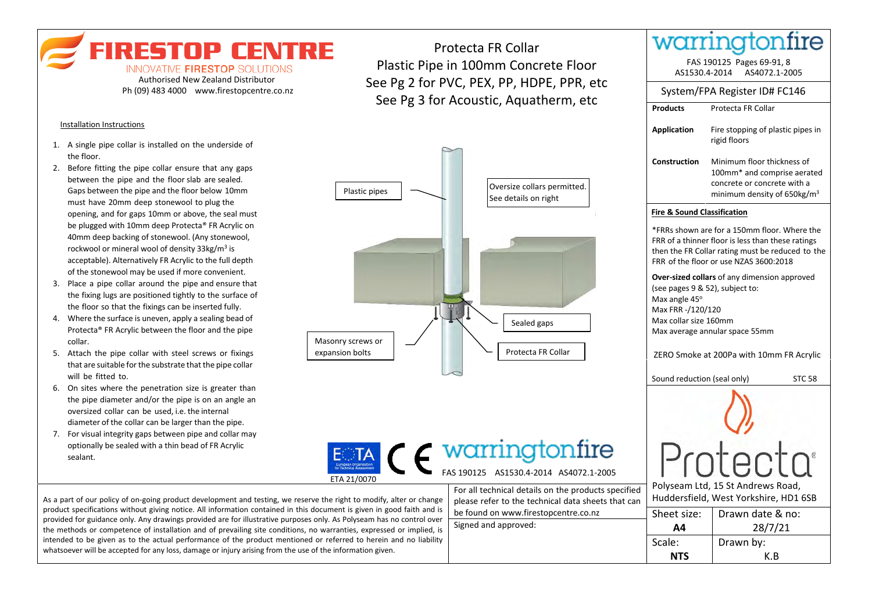**FIRESTOP CENTRE INNOVATIVE FIRESTOP SOLUTIONS** 

Authorised New Zealand Distributor Ph (09) 483 4000 www.firestopcentre.co.nz

#### Installation Instructions

- 1. A single pipe collar is installed on the underside of the floor.
- 2. Before fitting the pipe collar ensure that any gaps between the pipe and the floor slab are sealed. Gaps between the pipe and the floor below 10mm must have 20mm deep stonewool to plug the opening, and for gaps 10mm or above, the seal must be plugged with 10mm deep Protecta® FR Acrylic on 40mm deep backing of stonewool. (Any stonewool, rockwool or mineral wool of density 33kg/m<sup>3</sup> is acceptable). Alternatively FR Acrylic to the full depth of the stonewool may be used if more convenient.
- 3. Place a pipe collar around the pipe and ensure that the fixing lugs are positioned tightly to the surface of the floor so that the fixings can be inserted fully.
- 4. Where the surface is uneven, apply a sealing bead of Protecta® FR Acrylic between the floor and the pipe collar.
- 5. Attach the pipe collar with steel screws or fixings that are suitable forthe substrate that the pipe collar will be fitted to.
- 6. On sites where the penetration size is greater than the pipe diameter and/or the pipe is on an angle an oversized collar can be used, i.e. the internal diameter of the collar can be larger than the pipe.
- 7. For visual integrity gaps between pipe and collar may optionally be sealed with a thin bead of FR Acrylic sealant.

Protecta FR Collar Plastic Pipe in 100mm Concrete Floor See Pg 2 for PVC, PEX, PP, HDPE, PPR, etc See Pg 3 for Acoustic, Aquatherm, etc.



# E TA ( Warringtonfire

FAS 190125 AS1530.4-2014 AS4072.1-2005

As a part of our policy of on-going product development and testing, we reserve the right to modify, alter or change product specifications without giving notice. All information contained in this document is given in good faith and is provided for guidance only. Any drawings provided are for illustrative purposes only. As Polyseam has no control over the methods or competence of installation and of prevailing site conditions, no warranties, expressed or implied, is intended to be given as to the actual performance of the product mentioned or referred to herein and no liability whatsoever will be accepted for any loss, damage or injury arising from the use of the information given.

ETA 21/0070

For all technical details on the products specified please refer to the technical data sheets that can be found on www.firestopcentre.co.nz

Signed and approved:

|                                                                                                                                                                                                 | ontire                                                                                                                              |  |  |
|-------------------------------------------------------------------------------------------------------------------------------------------------------------------------------------------------|-------------------------------------------------------------------------------------------------------------------------------------|--|--|
| FAS 190125 Pages 69-91, 8<br>AS1530.4-2014<br>AS4072.1-2005                                                                                                                                     |                                                                                                                                     |  |  |
|                                                                                                                                                                                                 | System/FPA Register ID# FC146                                                                                                       |  |  |
| <b>Products</b>                                                                                                                                                                                 | Protecta FR Collar                                                                                                                  |  |  |
| <b>Application</b>                                                                                                                                                                              | Fire stopping of plastic pipes in<br>rigid floors                                                                                   |  |  |
| Construction                                                                                                                                                                                    | Minimum floor thickness of<br>100mm* and comprise aerated<br>concrete or concrete with a<br>minimum density of 650kg/m <sup>3</sup> |  |  |
| <b>Fire &amp; Sound Classification</b>                                                                                                                                                          |                                                                                                                                     |  |  |
| *FRRs shown are for a 150mm floor. Where the<br>FRR of a thinner floor is less than these ratings<br>then the FR Collar rating must be reduced to the<br>FRR of the floor or use NZAS 3600:2018 |                                                                                                                                     |  |  |
| Over-sized collars of any dimension approved<br>(see pages $9 \& 52$ ), subject to:<br>Max angle 45°<br>Max FRR -/120/120<br>Max collar size 160mm<br>Max average annular space 55mm            |                                                                                                                                     |  |  |
| ZERO Smoke at 200Pa with 10mm FR Acrylic                                                                                                                                                        |                                                                                                                                     |  |  |
| Sound reduction (seal only)<br><b>STC 58</b>                                                                                                                                                    |                                                                                                                                     |  |  |
|                                                                                                                                                                                                 |                                                                                                                                     |  |  |
| <sup>P</sup> rntect                                                                                                                                                                             |                                                                                                                                     |  |  |
| Polyseam Ltd, 15 St Andrews Road,<br>Huddersfield, West Yorkshire, HD1 6SB                                                                                                                      |                                                                                                                                     |  |  |
| Sheet size:                                                                                                                                                                                     | Drawn date & no:                                                                                                                    |  |  |
| Α4                                                                                                                                                                                              | 28/7/21                                                                                                                             |  |  |
| Scale:                                                                                                                                                                                          | Drawn by:                                                                                                                           |  |  |

K.B

**NTS**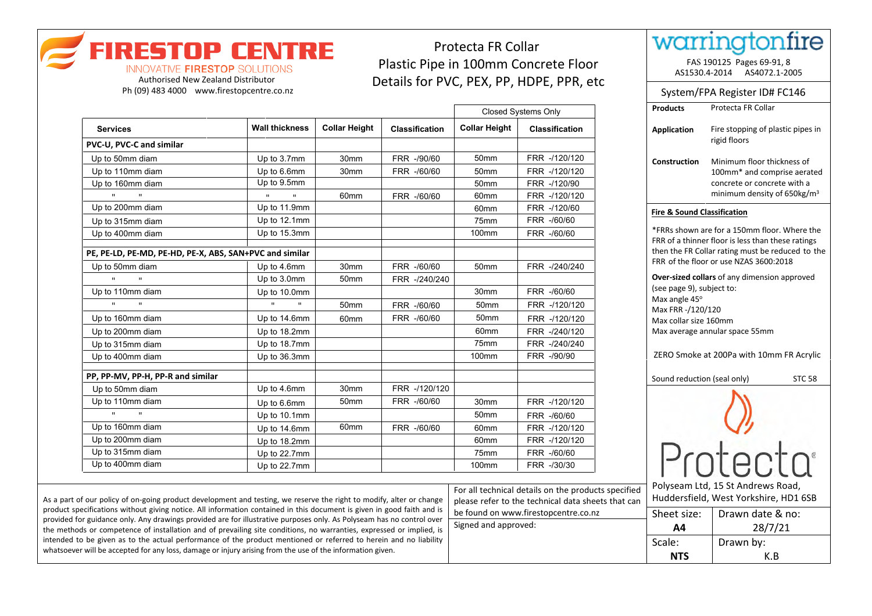### **FIRESTOP CENTRE**

**INNOVATIVE FIRESTOP SOLUTIONS** Authorised New Zealand Distributor Ph (09) 483 4000 www.firestopcentre.co.nz

### Protecta FR Collar Plastic Pipe in 100mm Concrete Floor Details for PVC, PEX, PP, HDPE, PPR, etc

|                                                         |                              |                      |                       | <b>Closed Systems Only</b> |                       |
|---------------------------------------------------------|------------------------------|----------------------|-----------------------|----------------------------|-----------------------|
| <b>Services</b>                                         | <b>Wall thickness</b>        | <b>Collar Height</b> | <b>Classification</b> | <b>Collar Height</b>       | <b>Classification</b> |
| PVC-U, PVC-C and similar                                |                              |                      |                       |                            |                       |
| Up to 50mm diam                                         | Up to 3.7mm                  | 30mm                 | FRR -/90/60           | 50mm                       | FRR -/120/120         |
| Up to 110mm diam                                        | Up to 6.6mm                  | 30mm                 | FRR -/60/60           | 50mm                       | FRR -/120/120         |
| Up to 160mm diam                                        | Up to 9.5mm                  |                      |                       | 50mm                       | FRR -/120/90          |
| $\mathbf{u}$<br>$\mathbf{H}$                            | $\mathbf{u}$<br>$\mathbf{u}$ | 60mm                 | FRR -/60/60           | 60 <sub>mm</sub>           | FRR -/120/120         |
| Up to 200mm diam                                        | Up to 11.9mm                 |                      |                       | 60mm                       | FRR -/120/60          |
| Up to 315mm diam                                        | Up to 12.1mm                 |                      |                       | 75mm                       | FRR -/60/60           |
| Up to 400mm diam                                        | Up to 15.3mm                 |                      |                       | 100mm                      | FRR -/60/60           |
| PE, PE-LD, PE-MD, PE-HD, PE-X, ABS, SAN+PVC and similar |                              |                      |                       |                            |                       |
| Up to 50mm diam                                         | Up to 4.6mm                  | 30mm                 | FRR -/60/60           | 50mm                       | FRR -/240/240         |
| $\mathbf{u}$<br>$\mathbf{u}$                            | Up to 3.0mm                  | 50mm                 | FRR -/240/240         |                            |                       |
| Up to 110mm diam                                        | Up to 10.0mm                 |                      |                       | 30mm                       | FRR -/60/60           |
| $\mathbf{u}$<br>$\mathbf{u}$                            | $\mathbf{u}$<br>$\mathbf{u}$ | 50mm                 | FRR -/60/60           | 50mm                       | FRR -/120/120         |
| Up to 160mm diam                                        | Up to 14.6mm                 | 60mm                 | FRR -/60/60           | 50mm                       | FRR -/120/120         |
| Up to 200mm diam                                        | Up to 18.2mm                 |                      |                       | 60 <sub>mm</sub>           | FRR -/240/120         |
| Up to 315mm diam                                        | Up to 18.7mm                 |                      |                       | 75mm                       | FRR -/240/240         |
| Up to 400mm diam                                        | Up to 36.3mm                 |                      |                       | 100mm                      | FRR -/90/90           |
| PP, PP-MV, PP-H, PP-R and similar                       |                              |                      |                       |                            |                       |
| Up to 50mm diam                                         | Up to 4.6mm                  | 30mm                 | FRR -/120/120         |                            |                       |
| Up to 110mm diam                                        | Up to 6.6mm                  | 50mm                 | FRR -/60/60           | 30mm                       | FRR -/120/120         |
| $\mathbf{u}$<br>$\mathbf{u}$                            | Up to 10.1mm                 |                      |                       | 50 <sub>mm</sub>           | FRR -/60/60           |
| Up to 160mm diam                                        | Up to 14.6mm                 | 60mm                 | FRR -/60/60           | 60 <sub>mm</sub>           | FRR -/120/120         |
| Up to 200mm diam                                        | Up to 18.2mm                 |                      |                       | 60 <sub>mm</sub>           | FRR -/120/120         |
| Up to 315mm diam                                        | Up to 22.7mm                 |                      |                       | 75mm                       | FRR -/60/60           |
| Up to 400mm diam                                        | Up to 22.7mm                 |                      |                       | 100mm                      | FRR -/30/30           |

warringtonfire FAS 190125 Pages 69-91, 8 AS1530.4-2014 AS4072.1-2005

| System/FPA Register ID# FC146                                                                                                                                                                                          |                                                                                                                                                                                                 |  |  |
|------------------------------------------------------------------------------------------------------------------------------------------------------------------------------------------------------------------------|-------------------------------------------------------------------------------------------------------------------------------------------------------------------------------------------------|--|--|
| <b>Products</b>                                                                                                                                                                                                        | Protecta FR Collar                                                                                                                                                                              |  |  |
| <b>Application</b>                                                                                                                                                                                                     | Fire stopping of plastic pipes in<br>rigid floors                                                                                                                                               |  |  |
| Construction                                                                                                                                                                                                           | Minimum floor thickness of<br>100mm* and comprise aerated<br>concrete or concrete with a<br>minimum density of 650kg/m <sup>3</sup>                                                             |  |  |
| <b>Fire &amp; Sound Classification</b>                                                                                                                                                                                 |                                                                                                                                                                                                 |  |  |
|                                                                                                                                                                                                                        | *FRRs shown are for a 150mm floor. Where the<br>FRR of a thinner floor is less than these ratings<br>then the FR Collar rating must be reduced to the<br>FRR of the floor or use NZAS 3600:2018 |  |  |
| Over-sized collars of any dimension approved<br>(see page 9), subject to:<br>Max angle 45°<br>Max FRR -/120/120<br>Max collar size 160mm<br>Max average annular space 55mm<br>ZERO Smoke at 200Pa with 10mm FR Acrylic |                                                                                                                                                                                                 |  |  |
| <b>STC 58</b><br>Sound reduction (seal only)                                                                                                                                                                           |                                                                                                                                                                                                 |  |  |
|                                                                                                                                                                                                                        | Protecto <sup>®</sup>                                                                                                                                                                           |  |  |
| Polyseam Ltd, 15 St Andrews Road,<br>Huddersfield, West Yorkshire, HD1 6SB                                                                                                                                             |                                                                                                                                                                                                 |  |  |
| Sheet size:<br>Α4                                                                                                                                                                                                      | Drawn date & no:<br>28/7/21                                                                                                                                                                     |  |  |
| Scale:                                                                                                                                                                                                                 | Drawn by:                                                                                                                                                                                       |  |  |
| <b>NTS</b>                                                                                                                                                                                                             | K.B                                                                                                                                                                                             |  |  |

As a part of our policy of on-going product development and testing, we reserve the right to modify, alter or change product specifications without giving notice. All information contained in this document is given in good faith and is provided for guidance only. Any drawings provided are for illustrative purposes only. As Polyseam has no control over the methods or competence of installation and of prevailing site conditions, no warranties, expressed or implied, is intended to be given as to the actual performance of the product mentioned or referred to herein and no liability whatsoever will be accepted for any loss, damage or injury arising from the use of the information given.

For all technical details on the products specified please refer to the technical data sheets that can be found on www.firestopcentre.co.nz Signed and approved: